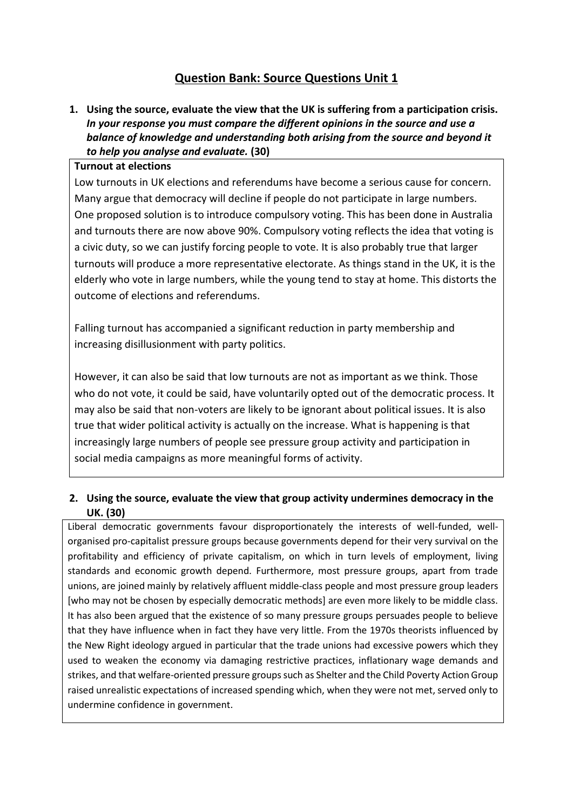# **Question Bank: Source Questions Unit 1**

## **1. Using the source, evaluate the view that the UK is suffering from a participation crisis.**  *In your response you must compare the different opinions in the source and use a balance of knowledge and understanding both arising from the source and beyond it to help you analyse and evaluate.* **(30)**

### **Turnout at elections**

Low turnouts in UK elections and referendums have become a serious cause for concern. Many argue that democracy will decline if people do not participate in large numbers. One proposed solution is to introduce compulsory voting. This has been done in Australia and turnouts there are now above 90%. Compulsory voting reflects the idea that voting is a civic duty, so we can justify forcing people to vote. It is also probably true that larger turnouts will produce a more representative electorate. As things stand in the UK, it is the elderly who vote in large numbers, while the young tend to stay at home. This distorts the outcome of elections and referendums.

Falling turnout has accompanied a significant reduction in party membership and increasing disillusionment with party politics.

However, it can also be said that low turnouts are not as important as we think. Those who do not vote, it could be said, have voluntarily opted out of the democratic process. It may also be said that non-voters are likely to be ignorant about political issues. It is also true that wider political activity is actually on the increase. What is happening is that increasingly large numbers of people see pressure group activity and participation in social media campaigns as more meaningful forms of activity.

## **2. Using the source, evaluate the view that group activity undermines democracy in the UK. (30)**

Liberal democratic governments favour disproportionately the interests of well-funded, wellorganised pro-capitalist pressure groups because governments depend for their very survival on the profitability and efficiency of private capitalism, on which in turn levels of employment, living standards and economic growth depend. Furthermore, most pressure groups, apart from trade unions, are joined mainly by relatively affluent middle-class people and most pressure group leaders [who may not be chosen by especially democratic methods] are even more likely to be middle class. It has also been argued that the existence of so many pressure groups persuades people to believe that they have influence when in fact they have very little. From the 1970s theorists influenced by the New Right ideology argued in particular that the trade unions had excessive powers which they used to weaken the economy via damaging restrictive practices, inflationary wage demands and strikes, and that welfare-oriented pressure groups such as Shelter and the Child Poverty Action Group raised unrealistic expectations of increased spending which, when they were not met, served only to undermine confidence in government.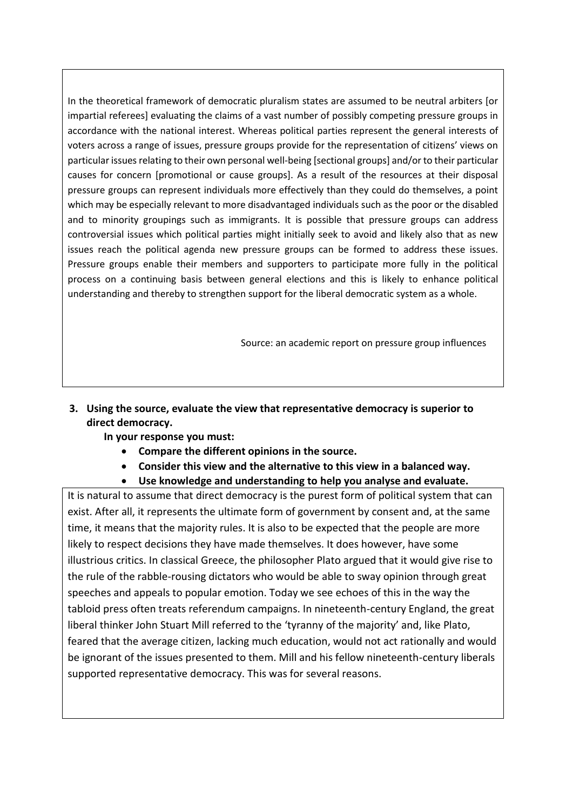In the theoretical framework of democratic pluralism states are assumed to be neutral arbiters [or impartial referees] evaluating the claims of a vast number of possibly competing pressure groups in accordance with the national interest. Whereas political parties represent the general interests of voters across a range of issues, pressure groups provide for the representation of citizens' views on particular issues relating to their own personal well-being [sectional groups] and/or to their particular causes for concern [promotional or cause groups]. As a result of the resources at their disposal pressure groups can represent individuals more effectively than they could do themselves, a point which may be especially relevant to more disadvantaged individuals such as the poor or the disabled and to minority groupings such as immigrants. It is possible that pressure groups can address controversial issues which political parties might initially seek to avoid and likely also that as new issues reach the political agenda new pressure groups can be formed to address these issues. Pressure groups enable their members and supporters to participate more fully in the political process on a continuing basis between general elections and this is likely to enhance political understanding and thereby to strengthen support for the liberal democratic system as a whole.

Source: an academic report on pressure group influences

## **3. Using the source, evaluate the view that representative democracy is superior to direct democracy.**

**In your response you must:**

- **Compare the different opinions in the source.**
- **Consider this view and the alternative to this view in a balanced way.**
- **Use knowledge and understanding to help you analyse and evaluate.**

It is natural to assume that direct democracy is the purest form of political system that can exist. After all, it represents the ultimate form of government by consent and, at the same time, it means that the majority rules. It is also to be expected that the people are more likely to respect decisions they have made themselves. It does however, have some illustrious critics. In classical Greece, the philosopher Plato argued that it would give rise to the rule of the rabble-rousing dictators who would be able to sway opinion through great speeches and appeals to popular emotion. Today we see echoes of this in the way the tabloid press often treats referendum campaigns. In nineteenth-century England, the great liberal thinker John Stuart Mill referred to the 'tyranny of the majority' and, like Plato, feared that the average citizen, lacking much education, would not act rationally and would be ignorant of the issues presented to them. Mill and his fellow nineteenth-century liberals supported representative democracy. This was for several reasons.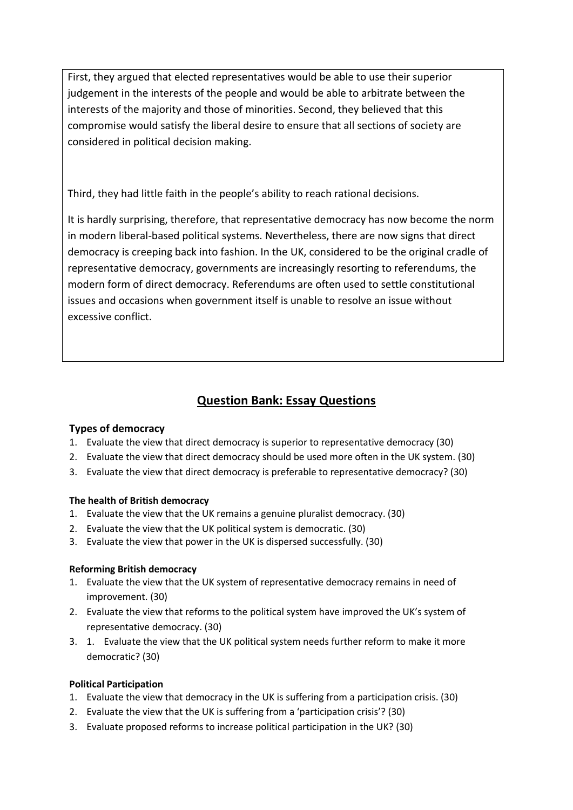First, they argued that elected representatives would be able to use their superior judgement in the interests of the people and would be able to arbitrate between the interests of the majority and those of minorities. Second, they believed that this compromise would satisfy the liberal desire to ensure that all sections of society are considered in political decision making.

Third, they had little faith in the people's ability to reach rational decisions.

It is hardly surprising, therefore, that representative democracy has now become the norm in modern liberal-based political systems. Nevertheless, there are now signs that direct democracy is creeping back into fashion. In the UK, considered to be the original cradle of representative democracy, governments are increasingly resorting to referendums, the modern form of direct democracy. Referendums are often used to settle constitutional issues and occasions when government itself is unable to resolve an issue without excessive conflict.

# **Question Bank: Essay Questions**

## **Types of democracy**

- 1. Evaluate the view that direct democracy is superior to representative democracy (30)
- 2. Evaluate the view that direct democracy should be used more often in the UK system. (30)
- 3. Evaluate the view that direct democracy is preferable to representative democracy? (30)

### **The health of British democracy**

- 1. Evaluate the view that the UK remains a genuine pluralist democracy. (30)
- 2. Evaluate the view that the UK political system is democratic. (30)
- 3. Evaluate the view that power in the UK is dispersed successfully. (30)

### **Reforming British democracy**

- 1. Evaluate the view that the UK system of representative democracy remains in need of improvement. (30)
- 2. Evaluate the view that reforms to the political system have improved the UK's system of representative democracy. (30)
- 3. 1. Evaluate the view that the UK political system needs further reform to make it more democratic? (30)

### **Political Participation**

- 1. Evaluate the view that democracy in the UK is suffering from a participation crisis. (30)
- 2. Evaluate the view that the UK is suffering from a 'participation crisis'? (30)
- 3. Evaluate proposed reforms to increase political participation in the UK? (30)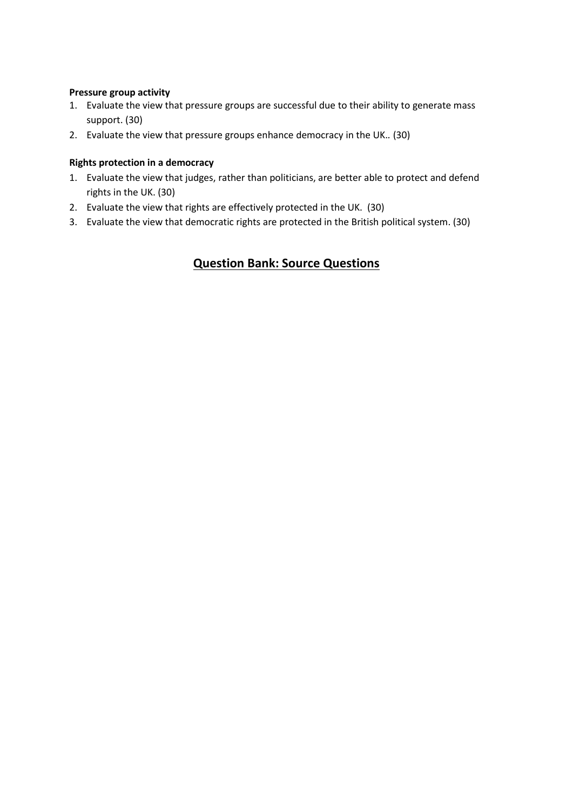### **Pressure group activity**

- 1. Evaluate the view that pressure groups are successful due to their ability to generate mass support. (30)
- 2. Evaluate the view that pressure groups enhance democracy in the UK.*.* (30)

### **Rights protection in a democracy**

- 1. Evaluate the view that judges, rather than politicians, are better able to protect and defend rights in the UK. (30)
- 2. Evaluate the view that rights are effectively protected in the UK. (30)
- 3. Evaluate the view that democratic rights are protected in the British political system. (30)

## **Question Bank: Source Questions**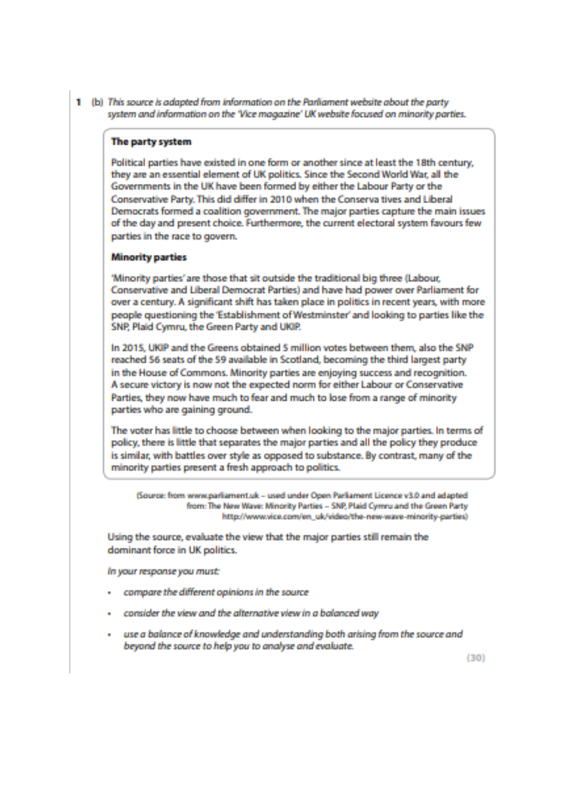(b) This source is adapted from information on the Parliament website about the party system and information on the 'Vice magazine' UK website focused on minority parties.

### The party system

Political parties have existed in one form or another since at least the 18th century, they are an essential element of UK politics. Since the Second World War, all the Governments in the UK have been formed by either the Labour Party or the Conservative Party. This did differ in 2010 when the Conserva tives and Liberal Democrats formed a coalition government. The major parties capture the main issues of the day and present choice. Furthermore, the current electoral system favours few parties in the race to govern.

#### **Minority parties**

'Minority parties' are those that sit outside the traditional big three (Labour, Conservative and Liberal Democrat Parties) and have had power over Parliament for over a century. A significant shift has taken place in politics in recent years, with more people questioning the 'Establishment of Westminster' and looking to parties like the SNP, Plaid Cymru, the Green Party and UKIP.

In 2015, UKIP and the Greens obtained 5 million votes between them, also the SNP reached 56 seats of the 59 available in Scotland, becoming the third largest party in the House of Commons. Minority parties are enjoying success and recognition. A secure victory is now not the expected norm for either Labour or Conservative Parties, they now have much to fear and much to lose from a range of minority parties who are gaining ground.

The voter has little to choose between when looking to the major parties. In terms of policy, there is little that separates the major parties and all the policy they produce is similar, with battles over style as opposed to substance. By contrast, many of the minority parties present a fresh approach to politics.

(Source: from www.parliament.uk - used under Open Parliament Licence v3.0 and adapted from: The New Wave: Minority Parties - SNP, Plaid Cymru and the Green Party http://www.vice.com/en\_uk/video/the-new-wave-minority-parties)

Using the source, evaluate the view that the major parties still remain the dominant force in UK politics.

In your response you must:

- compare the different opinions in the source
- consider the view and the alternative view in a balanced way
- use a balance of knowledge and understanding both arising from the source and beyond the source to help you to analyse and evaluate.

(30)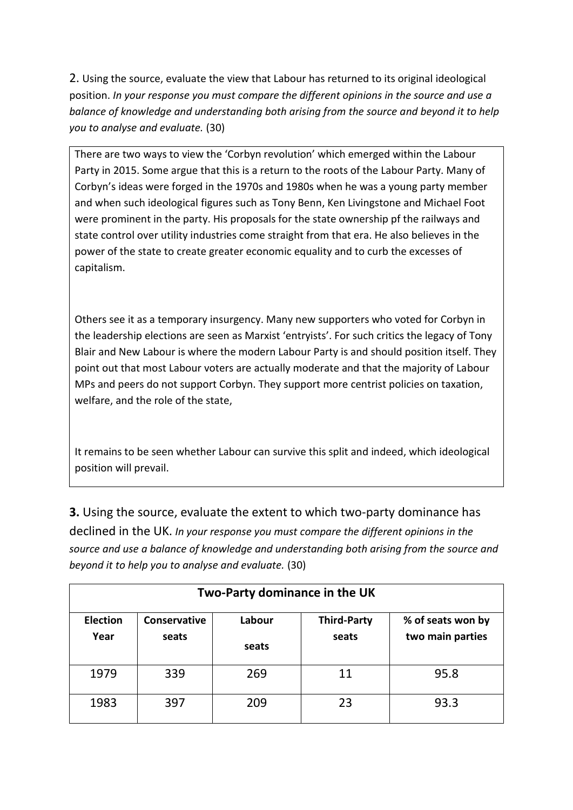2. Using the source, evaluate the view that Labour has returned to its original ideological position. *In your response you must compare the different opinions in the source and use a balance of knowledge and understanding both arising from the source and beyond it to help you to analyse and evaluate.* (30)

There are two ways to view the 'Corbyn revolution' which emerged within the Labour Party in 2015. Some argue that this is a return to the roots of the Labour Party. Many of Corbyn's ideas were forged in the 1970s and 1980s when he was a young party member and when such ideological figures such as Tony Benn, Ken Livingstone and Michael Foot were prominent in the party. His proposals for the state ownership pf the railways and state control over utility industries come straight from that era. He also believes in the power of the state to create greater economic equality and to curb the excesses of capitalism.

Others see it as a temporary insurgency. Many new supporters who voted for Corbyn in the leadership elections are seen as Marxist 'entryists'. For such critics the legacy of Tony Blair and New Labour is where the modern Labour Party is and should position itself. They point out that most Labour voters are actually moderate and that the majority of Labour MPs and peers do not support Corbyn. They support more centrist policies on taxation, welfare, and the role of the state,

It remains to be seen whether Labour can survive this split and indeed, which ideological position will prevail.

**3.** Using the source, evaluate the extent to which two-party dominance has declined in the UK. *In your response you must compare the different opinions in the source and use a balance of knowledge and understanding both arising from the source and beyond it to help you to analyse and evaluate.* (30)

| Two-Party dominance in the UK |                              |                 |                             |                                       |  |  |
|-------------------------------|------------------------------|-----------------|-----------------------------|---------------------------------------|--|--|
| <b>Election</b><br>Year       | <b>Conservative</b><br>seats | Labour<br>seats | <b>Third-Party</b><br>seats | % of seats won by<br>two main parties |  |  |
| 1979                          | 339                          | 269             | 11                          | 95.8                                  |  |  |
| 1983                          | 397                          | 209             | 23                          | 93.3                                  |  |  |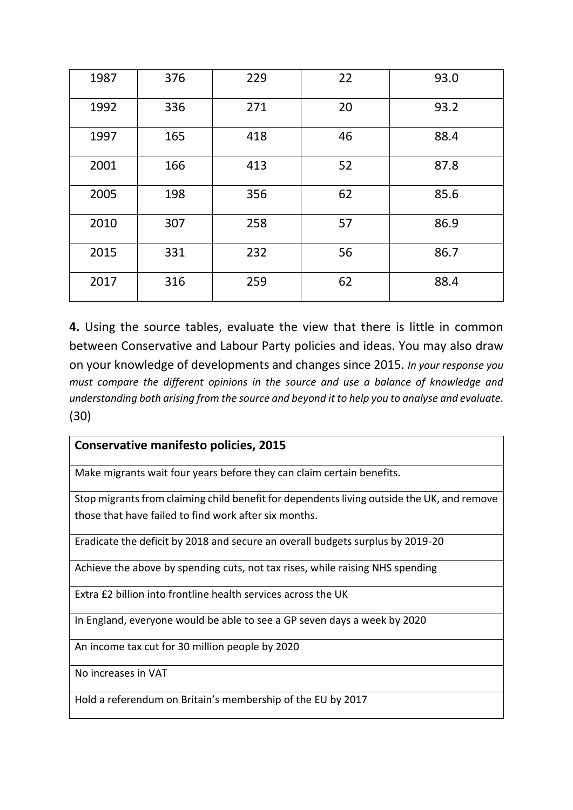| 1987 | 376 | 229 | 22 | 93.0 |
|------|-----|-----|----|------|
| 1992 | 336 | 271 | 20 | 93.2 |
| 1997 | 165 | 418 | 46 | 88.4 |
| 2001 | 166 | 413 | 52 | 87.8 |
| 2005 | 198 | 356 | 62 | 85.6 |
| 2010 | 307 | 258 | 57 | 86.9 |
| 2015 | 331 | 232 | 56 | 86.7 |
| 2017 | 316 | 259 | 62 | 88.4 |

**4.** Using the source tables, evaluate the view that there is little in common between Conservative and Labour Party policies and ideas. You may also draw on your knowledge of developments and changes since 2015. *In your response you must compare the different opinions in the source and use a balance of knowledge and understanding both arising from the source and beyond it to help you to analyse and evaluate.*  (30)

## **Conservative manifesto policies, 2015**

Make migrants wait four years before they can claim certain benefits.

Stop migrants from claiming child benefit for dependents living outside the UK, and remove those that have failed to find work after six months.

Eradicate the deficit by 2018 and secure an overall budgets surplus by 2019-20

Achieve the above by spending cuts, not tax rises, while raising NHS spending

Extra £2 billion into frontline health services across the UK

In England, everyone would be able to see a GP seven days a week by 2020

An income tax cut for 30 million people by 2020

No increases in VAT

Hold a referendum on Britain's membership of the EU by 2017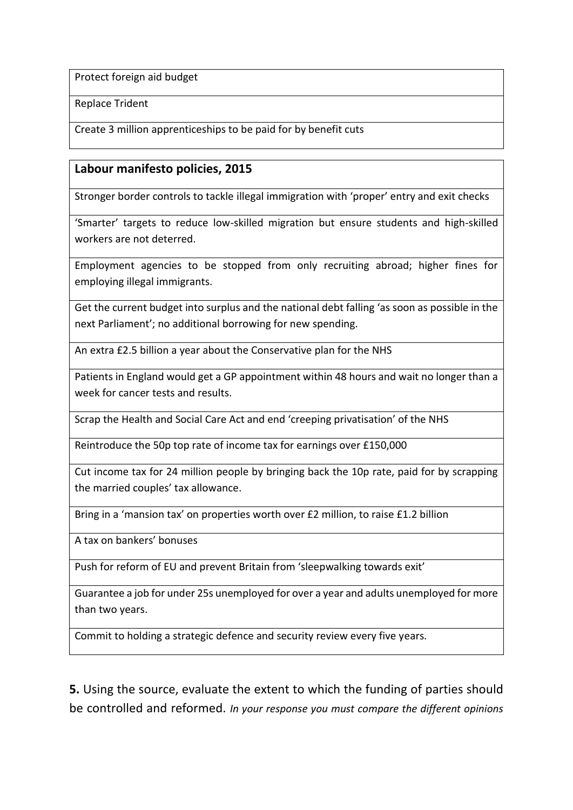Protect foreign aid budget

Replace Trident

Create 3 million apprenticeships to be paid for by benefit cuts

## **Labour manifesto policies, 2015**

Stronger border controls to tackle illegal immigration with 'proper' entry and exit checks

'Smarter' targets to reduce low-skilled migration but ensure students and high-skilled workers are not deterred.

Employment agencies to be stopped from only recruiting abroad; higher fines for employing illegal immigrants.

Get the current budget into surplus and the national debt falling 'as soon as possible in the next Parliament'; no additional borrowing for new spending.

An extra £2.5 billion a year about the Conservative plan for the NHS

Patients in England would get a GP appointment within 48 hours and wait no longer than a week for cancer tests and results.

Scrap the Health and Social Care Act and end 'creeping privatisation' of the NHS

Reintroduce the 50p top rate of income tax for earnings over £150,000

Cut income tax for 24 million people by bringing back the 10p rate, paid for by scrapping the married couples' tax allowance.

Bring in a 'mansion tax' on properties worth over £2 million, to raise £1.2 billion

A tax on bankers' bonuses

Push for reform of EU and prevent Britain from 'sleepwalking towards exit'

Guarantee a job for under 25s unemployed for over a year and adults unemployed for more than two years.

Commit to holding a strategic defence and security review every five years.

**5.** Using the source, evaluate the extent to which the funding of parties should be controlled and reformed. *In your response you must compare the different opinions*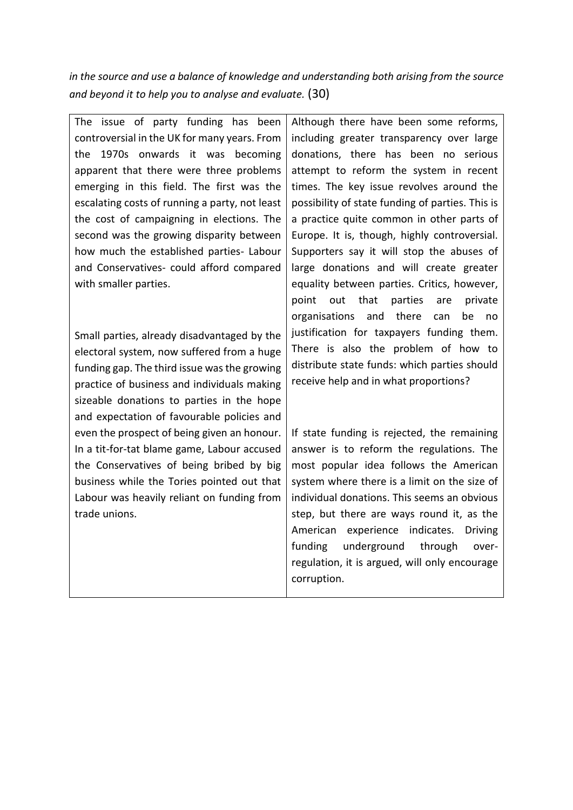*in the source and use a balance of knowledge and understanding both arising from the source and beyond it to help you to analyse and evaluate.* (30)

The issue of party funding has been controversial in the UK for many years. From the 1970s onwards it was becoming apparent that there were three problems emerging in this field. The first was the escalating costs of running a party, not least the cost of campaigning in elections. The second was the growing disparity between how much the established parties- Labour and Conservatives- could afford compared with smaller parties.

Small parties, already disadvantaged by the electoral system, now suffered from a huge funding gap. The third issue was the growing practice of business and individuals making sizeable donations to parties in the hope and expectation of favourable policies and even the prospect of being given an honour. In a tit-for-tat blame game, Labour accused the Conservatives of being bribed by big business while the Tories pointed out that Labour was heavily reliant on funding from trade unions.

Although there have been some reforms, including greater transparency over large donations, there has been no serious attempt to reform the system in recent times. The key issue revolves around the possibility of state funding of parties. This is a practice quite common in other parts of Europe. It is, though, highly controversial. Supporters say it will stop the abuses of large donations and will create greater equality between parties. Critics, however, point out that parties are private organisations and there can be no justification for taxpayers funding them. There is also the problem of how to distribute state funds: which parties should receive help and in what proportions?

If state funding is rejected, the remaining answer is to reform the regulations. The most popular idea follows the American system where there is a limit on the size of individual donations. This seems an obvious step, but there are ways round it, as the American experience indicates. Driving funding underground through overregulation, it is argued, will only encourage corruption.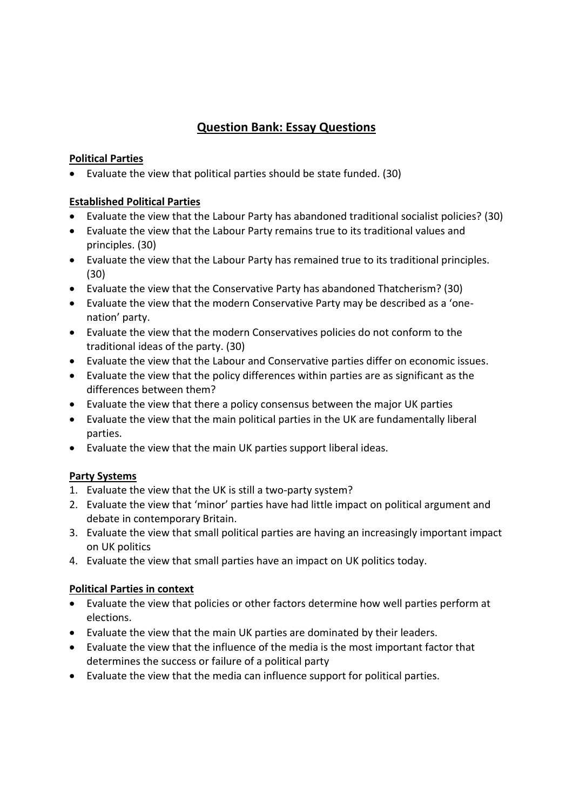# **Question Bank: Essay Questions**

## **Political Parties**

• Evaluate the view that political parties should be state funded. (30)

## **Established Political Parties**

- Evaluate the view that the Labour Party has abandoned traditional socialist policies? (30)
- Evaluate the view that the Labour Party remains true to its traditional values and principles. (30)
- Evaluate the view that the Labour Party has remained true to its traditional principles. (30)
- Evaluate the view that the Conservative Party has abandoned Thatcherism? (30)
- Evaluate the view that the modern Conservative Party may be described as a 'onenation' party.
- Evaluate the view that the modern Conservatives policies do not conform to the traditional ideas of the party. (30)
- Evaluate the view that the Labour and Conservative parties differ on economic issues.
- Evaluate the view that the policy differences within parties are as significant as the differences between them?
- Evaluate the view that there a policy consensus between the major UK parties
- Evaluate the view that the main political parties in the UK are fundamentally liberal parties.
- Evaluate the view that the main UK parties support liberal ideas.

## **Party Systems**

- 1. Evaluate the view that the UK is still a two-party system?
- 2. Evaluate the view that 'minor' parties have had little impact on political argument and debate in contemporary Britain.
- 3. Evaluate the view that small political parties are having an increasingly important impact on UK politics
- 4. Evaluate the view that small parties have an impact on UK politics today.

## **Political Parties in context**

- Evaluate the view that policies or other factors determine how well parties perform at elections.
- Evaluate the view that the main UK parties are dominated by their leaders.
- Evaluate the view that the influence of the media is the most important factor that determines the success or failure of a political party
- Evaluate the view that the media can influence support for political parties.